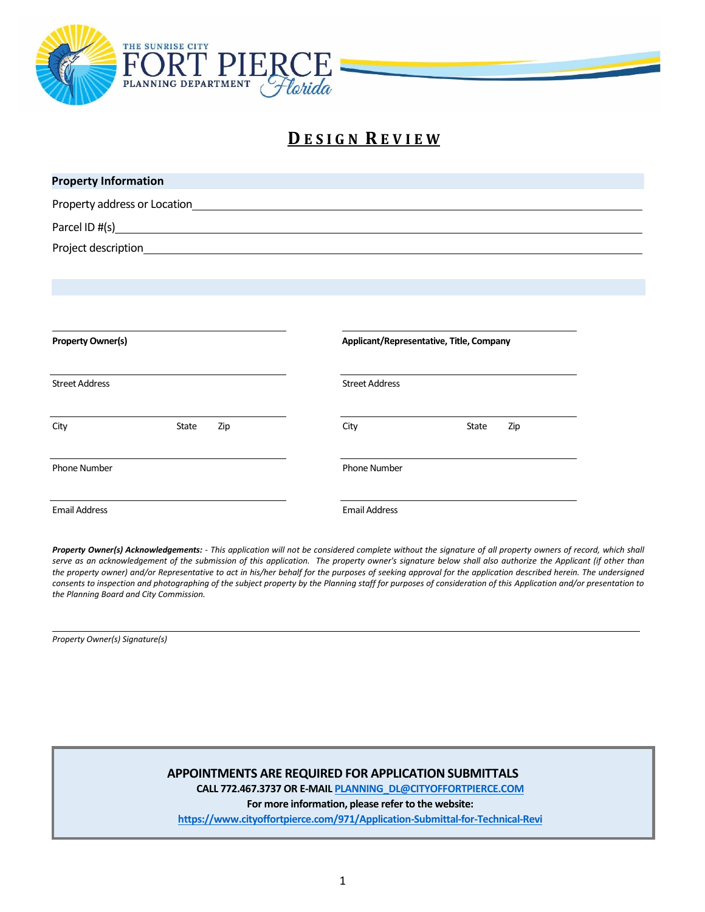

# **D E S I G N R E V I E W**

| <b>Property Information</b>  |              |                                               |                                          |       |     |  |
|------------------------------|--------------|-----------------------------------------------|------------------------------------------|-------|-----|--|
| Property address or Location |              | <u> 1980 - Andrea Andrew Maria (h. 1980).</u> |                                          |       |     |  |
|                              |              |                                               |                                          |       |     |  |
|                              |              |                                               |                                          |       |     |  |
|                              |              |                                               |                                          |       |     |  |
|                              |              |                                               |                                          |       |     |  |
|                              |              |                                               |                                          |       |     |  |
| <b>Property Owner(s)</b>     |              |                                               | Applicant/Representative, Title, Company |       |     |  |
| <b>Street Address</b>        |              |                                               | <b>Street Address</b>                    |       |     |  |
| City                         | <b>State</b> | Zip                                           | City                                     | State | Zip |  |
| <b>Phone Number</b>          |              |                                               | <b>Phone Number</b>                      |       |     |  |
| <b>Email Address</b>         |              |                                               | <b>Email Address</b>                     |       |     |  |

Property Owner(s) Acknowledgements: - This application will not be considered complete without the signature of all property owners of record, which shall serve as an acknowledgement of the submission of this application. The property owner's signature below shall also authorize the Applicant (if other than the property owner) and/or Representative to act in his/her behalf for the purposes of seeking approval for the application described herein. The undersigned *consents to inspection and photographing of the subject property by the Planning staff for purposes of consideration of this Application and/or presentation to the Planning Board and City Commission.*

*Property Owner(s) Signature(s)*

#### **APPOINTMENTS ARE REQUIRED FOR APPLICATION SUBMITTALS**

**CALL 772.467.3737 OR E-MAI[L PLANNING\\_DL@CITYOFFORTPIERCE.COM](mailto:PLANNING_DL@CITYOFFORTPIERCE.COM)**

**For more information, please refer to the website:**

**<https://www.cityoffortpierce.com/971/Application-Submittal-for-Technical-Revi>**